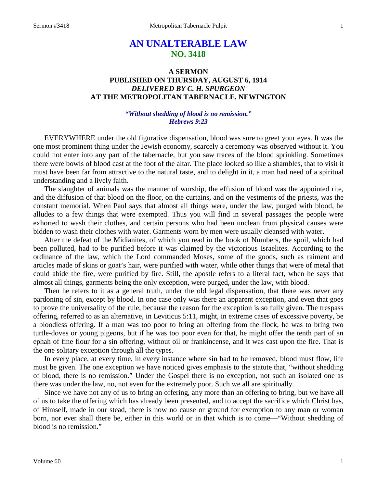# **AN UNALTERABLE LAW NO. 3418**

## **A SERMON PUBLISHED ON THURSDAY, AUGUST 6, 1914** *DELIVERED BY C. H. SPURGEON* **AT THE METROPOLITAN TABERNACLE, NEWINGTON**

#### *"Without shedding of blood is no remission." Hebrews 9:23*

EVERYWHERE under the old figurative dispensation, blood was sure to greet your eyes. It was the one most prominent thing under the Jewish economy, scarcely a ceremony was observed without it. You could not enter into any part of the tabernacle, but you saw traces of the blood sprinkling. Sometimes there were bowls of blood cast at the foot of the altar. The place looked so like a shambles, that to visit it must have been far from attractive to the natural taste, and to delight in it, a man had need of a spiritual understanding and a lively faith.

The slaughter of animals was the manner of worship, the effusion of blood was the appointed rite, and the diffusion of that blood on the floor, on the curtains, and on the vestments of the priests, was the constant memorial. When Paul says that almost all things were, under the law, purged with blood, he alludes to a few things that were exempted. Thus you will find in several passages the people were exhorted to wash their clothes, and certain persons who had been unclean from physical causes were bidden to wash their clothes with water. Garments worn by men were usually cleansed with water.

After the defeat of the Midianites, of which you read in the book of Numbers, the spoil, which had been polluted, had to be purified before it was claimed by the victorious Israelites. According to the ordinance of the law, which the Lord commanded Moses, some of the goods, such as raiment and articles made of skins or goat's hair, were purified with water, while other things that were of metal that could abide the fire, were purified by fire. Still, the apostle refers to a literal fact, when he says that almost all things, garments being the only exception, were purged, under the law, with blood.

Then he refers to it as a general truth, under the old legal dispensation, that there was never any pardoning of sin, except by blood. In one case only was there an apparent exception, and even that goes to prove the universality of the rule, because the reason for the exception is so fully given. The trespass offering, referred to as an alternative, in Leviticus 5:11, might, in extreme cases of excessive poverty, be a bloodless offering. If a man was too poor to bring an offering from the flock, he was to bring two turtle-doves or young pigeons, but if he was too poor even for that, he might offer the tenth part of an ephah of fine flour for a sin offering, without oil or frankincense, and it was cast upon the fire. That is the one solitary exception through all the types.

In every place, at every time, in every instance where sin had to be removed, blood must flow, life must be given. The one exception we have noticed gives emphasis to the statute that, "without shedding of blood, there is no remission." Under the Gospel there is no exception, not such an isolated one as there was under the law, no, not even for the extremely poor. Such we all are spiritually.

Since we have not any of us to bring an offering, any more than an offering to bring, but we have all of us to take the offering which has already been presented, and to accept the sacrifice which Christ has, of Himself, made in our stead, there is now no cause or ground for exemption to any man or woman born, nor ever shall there be, either in this world or in that which is to come—"Without shedding of blood is no remission."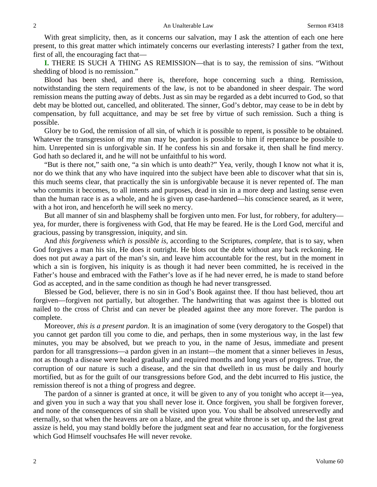With great simplicity, then, as it concerns our salvation, may I ask the attention of each one here present, to this great matter which intimately concerns our everlasting interests? I gather from the text, first of all, the encouraging fact that—

**I.** THERE IS SUCH A THING AS REMISSION—that is to say, the remission of sins. "Without shedding of blood is no remission."

Blood has been shed, and there is, therefore, hope concerning such a thing. Remission, notwithstanding the stern requirements of the law, is not to be abandoned in sheer despair. The word remission means the putting away of debts. Just as sin may be regarded as a debt incurred to God, so that debt may be blotted out, cancelled, and obliterated. The sinner, God's debtor, may cease to be in debt by compensation, by full acquittance, and may be set free by virtue of such remission. Such a thing is possible.

Glory be to God, the remission of all sin, of which it is possible to repent, is possible to be obtained. Whatever the transgression of my man may be, pardon is possible to him if repentance be possible to him. Unrepented sin is unforgivable sin. If he confess his sin and forsake it, then shall he find mercy. God hath so declared it, and he will not be unfaithful to his word.

"But is there not," saith one, "a sin which is unto death?" Yea, verily, though I know not what it is, nor do we think that any who have inquired into the subject have been able to discover what that sin is, this much seems clear, that practically the sin is unforgivable because it is never repented of. The man who commits it becomes, to all intents and purposes, dead in sin in a more deep and lasting sense even than the human race is as a whole, and he is given up case-hardened—his conscience seared, as it were, with a hot iron, and henceforth he will seek no mercy.

But all manner of sin and blasphemy shall be forgiven unto men. For lust, for robbery, for adultery yea, for murder, there is forgiveness with God, that He may be feared. He is the Lord God, merciful and gracious, passing by transgression, iniquity, and sin.

And *this forgiveness which is possible is,* according to the Scriptures, *complete,* that is to say, when God forgives a man his sin, He does it outright. He blots out the debt without any back reckoning. He does not put away a part of the man's sin, and leave him accountable for the rest, but in the moment in which a sin is forgiven, his iniquity is as though it had never been committed, he is received in the Father's house and embraced with the Father's love as if he had never erred, he is made to stand before God as accepted, and in the same condition as though he had never transgressed.

Blessed be God, believer, there is no sin in God's Book against thee. If thou hast believed, thou art forgiven—forgiven not partially, but altogether. The handwriting that was against thee is blotted out nailed to the cross of Christ and can never be pleaded against thee any more forever. The pardon is complete.

Moreover, *this is a present pardon*. It is an imagination of some (very derogatory to the Gospel) that you cannot get pardon till you come to die, and perhaps, then in some mysterious way, in the last few minutes, you may be absolved, but we preach to you, in the name of Jesus, immediate and present pardon for all transgressions—a pardon given in an instant—the moment that a sinner believes in Jesus, not as though a disease were healed gradually and required months and long years of progress. True, the corruption of our nature is such a disease, and the sin that dwelleth in us must be daily and hourly mortified, but as for the guilt of our transgressions before God, and the debt incurred to His justice, the remission thereof is not a thing of progress and degree.

The pardon of a sinner is granted at once, it will be given to any of you tonight who accept it—yea, and given you in such a way that you shall never lose it. Once forgiven, you shall be forgiven forever, and none of the consequences of sin shall be visited upon you. You shall be absolved unreservedly and eternally, so that when the heavens are on a blaze, and the great white throne is set up, and the last great assize is held, you may stand boldly before the judgment seat and fear no accusation, for the forgiveness which God Himself vouchsafes He will never revoke.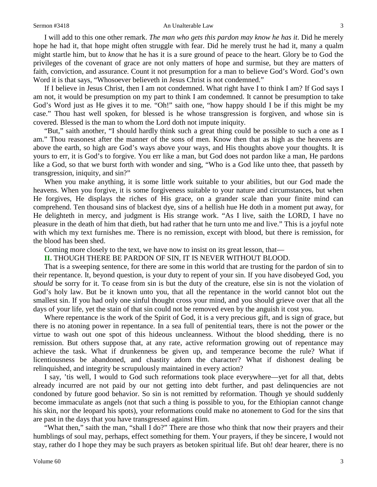#### Sermon #3418 **An Unalterable Law** 3

I will add to this one other remark. *The man who gets this pardon may know he has it*. Did he merely hope he had it, that hope might often struggle with fear. Did he merely trust he had it, many a qualm might startle him, but to *know* that he has it is a sure ground of peace to the heart. Glory be to God the privileges of the covenant of grace are not only matters of hope and surmise, but they are matters of faith, conviction, and assurance. Count it not presumption for a man to believe God's Word. God's own Word it is that says, "Whosoever believeth in Jesus Christ is not condemned."

If I believe in Jesus Christ, then I am not condemned. What right have I to think I am? If God says I am not, it would be presumption on my part to think I am condemned. It cannot be presumption to take God's Word just as He gives it to me. "Oh!" saith one, "how happy should I be if this might be my case." Thou hast well spoken, for blessed is he whose transgression is forgiven, and whose sin is covered. Blessed is the man to whom the Lord doth not impute iniquity.

"But," saith another, "I should hardly think such a great thing could be possible to such a one as I am." Thou reasonest after the manner of the sons of men. Know then that as high as the heavens are above the earth, so high are God's ways above your ways, and His thoughts above your thoughts. It is yours to err, it is God's to forgive. You err like a man, but God does not pardon like a man, He pardons like a God, so that we burst forth with wonder and sing, "Who is a God like unto thee, that passeth by transgression, iniquity, and sin?"

When you make anything, it is some little work suitable to your abilities, but our God made the heavens. When you forgive, it is some forgiveness suitable to your nature and circumstances, but when He forgives, He displays the riches of His grace, on a grander scale than your finite mind can comprehend. Ten thousand sins of blackest dye, sins of a hellish hue He doth in a moment put away, for He delighteth in mercy, and judgment is His strange work. "As I live, saith the LORD, I have no pleasure in the death of him that dieth, but had rather that he turn unto me and live." This is a joyful note with which my text furnishes me. There is no remission, except with blood, but there is remission, for the blood has been shed.

Coming more closely to the text, we have now to insist on its great lesson, that—

### **II.** THOUGH THERE BE PARDON OF SIN, IT IS NEVER WITHOUT BLOOD.

That is a sweeping sentence, for there are some in this world that are trusting for the pardon of sin to their repentance. It, beyond question, is your duty to repent of your sin. If you have disobeyed God, you *should* be sorry for it. To cease from sin is but the duty of the creature, else sin is not the violation of God's holy law. But be it known unto you, that all the repentance in the world cannot blot out the smallest sin. If you had only one sinful thought cross your mind, and you should grieve over that all the days of your life, yet the stain of that sin could not be removed even by the anguish it cost you.

Where repentance is the work of the Spirit of God, it is a very precious gift, and is sign of grace, but there is no atoning power in repentance. In a sea full of penitential tears, there is not the power or the virtue to wash out one spot of this hideous uncleanness. Without the blood shedding, there is no remission. But others suppose that, at any rate, active reformation growing out of repentance may achieve the task. What if drunkenness be given up, and temperance become the rule? What if licentiousness be abandoned, and chastity adorn the character? What if dishonest dealing be relinquished, and integrity be scrupulously maintained in every action?

I say, 'tis well, I would to God such reformations took place everywhere—yet for all that, debts already incurred are not paid by our not getting into debt further, and past delinquencies are not condoned by future good behavior. So sin is not remitted by reformation. Though ye should suddenly become immaculate as angels (not that such a thing is possible to you, for the Ethiopian cannot change his skin, nor the leopard his spots), your reformations could make no atonement to God for the sins that are past in the days that you have transgressed against Him.

"What then," saith the man, "shall I do?" There are those who think that now their prayers and their humblings of soul may, perhaps, effect something for them. Your prayers, if they be sincere, I would not stay, rather do I hope they may be such prayers as betoken spiritual life. But oh! dear hearer, there is no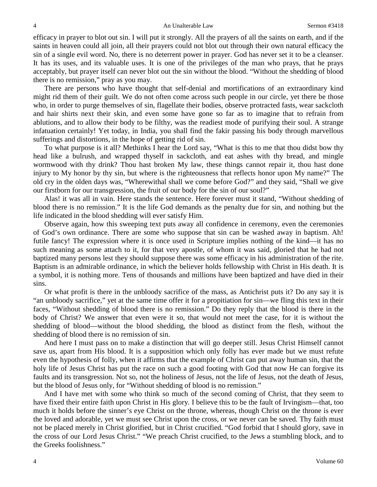efficacy in prayer to blot out sin. I will put it strongly. All the prayers of all the saints on earth, and if the saints in heaven could all join, all their prayers could not blot out through their own natural efficacy the sin of a single evil word. No, there is no deterrent power in prayer. God has never set it to be a cleanser. It has its uses, and its valuable uses. It is one of the privileges of the man who prays, that he prays acceptably, but prayer itself can never blot out the sin without the blood. "Without the shedding of blood there is no remission," pray as you may.

There are persons who have thought that self-denial and mortifications of an extraordinary kind might rid them of their guilt. We do not often come across such people in our circle, yet there be those who, in order to purge themselves of sin, flagellate their bodies, observe protracted fasts, wear sackcloth and hair shirts next their skin, and even some have gone so far as to imagine that to refrain from ablutions, and to allow their body to be filthy, was the readiest mode of purifying their soul. A strange infatuation certainly! Yet today, in India, you shall find the fakir passing his body through marvellous sufferings and distortions, in the hope of getting rid of sin.

To what purpose is it all? Methinks I hear the Lord say, "What is this to me that thou didst bow thy head like a bulrush, and wrapped thyself in sackcloth, and eat ashes with thy bread, and mingle wormwood with thy drink? Thou hast broken My law, these things cannot repair it, thou hast done injury to My honor by thy sin, but where is the righteousness that reflects honor upon My name?" The old cry in the olden days was, "Wherewithal shall we come before God?" and they said, "Shall we give our firstborn for our transgression, the fruit of our body for the sin of our soul?"

Alas! it was all in vain. Here stands the sentence. Here forever must it stand, "Without shedding of blood there is no remission." It is the life God demands as the penalty due for sin, and nothing but the life indicated in the blood shedding will ever satisfy Him.

Observe again, how this sweeping text puts away all confidence in ceremony, even the ceremonies of God's own ordinance. There are some who suppose that sin can be washed away in baptism. Ah! futile fancy! The expression where it is once used in Scripture implies nothing of the kind—it has no such meaning as some attach to it, for that very apostle, of whom it was said, gloried that he had not baptized many persons lest they should suppose there was some efficacy in his administration of the rite. Baptism is an admirable ordinance, in which the believer holds fellowship with Christ in His death. It is a symbol, it is nothing more. Tens of thousands and millions have been baptized and have died in their sins.

Or what profit is there in the unbloody sacrifice of the mass, as Antichrist puts it? Do any say it is "an unbloody sacrifice," yet at the same time offer it for a propitiation for sin—we fling this text in their faces, "Without shedding of blood there is no remission." Do they reply that the blood is there in the body of Christ? We answer that even were it so, that would not meet the case, for it is without the shedding of blood—without the blood shedding, the blood as distinct from the flesh, without the shedding of blood there is no remission of sin.

And here I must pass on to make a distinction that will go deeper still. Jesus Christ Himself cannot save us, apart from His blood. It is a supposition which only folly has ever made but we must refute even the hypothesis of folly, when it affirms that the example of Christ can put away human sin, that the holy life of Jesus Christ has put the race on such a good footing with God that now He can forgive its faults and its transgression. Not so, not the holiness of Jesus, not the life of Jesus, not the death of Jesus, but the blood of Jesus only, for "Without shedding of blood is no remission."

And I have met with some who think so much of the second coming of Christ, that they seem to have fixed their entire faith upon Christ in His glory. I believe this to be the fault of Irvingism—that, too much it holds before the sinner's eye Christ on the throne, whereas, though Christ on the throne is ever the loved and adorable, yet we must see Christ upon the cross, or we never can be saved. Thy faith must not be placed merely in Christ glorified, but in Christ crucified. "God forbid that I should glory, save in the cross of our Lord Jesus Christ." "We preach Christ crucified, to the Jews a stumbling block, and to the Greeks foolishness."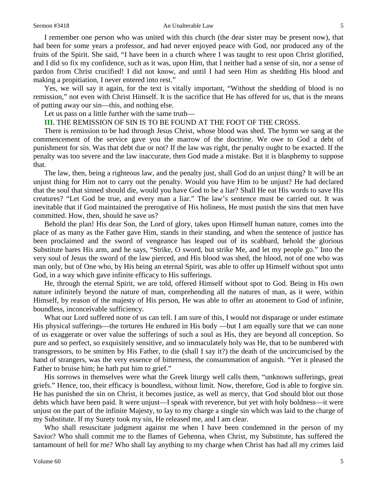#### Sermon #3418 **An Unalterable Law** 5

I remember one person who was united with this church (the dear sister may be present now), that had been for some years a professor, and had never enjoyed peace with God, nor produced any of the fruits of the Spirit. She said, "I have been in a church where I was taught to rest upon Christ glorified, and I did so fix my confidence, such as it was, upon Him, that I neither had a sense of sin, nor a sense of pardon from Christ crucified! I did not know, and until I had seen Him as shedding His blood and making a propitiation, I never entered into rest."

Yes, we will say it again, for the text is vitally important, "Without the shedding of blood is no remission," not even with Christ Himself. It is the sacrifice that He has offered for us, that is the means of putting away our sin—this, and nothing else.

Let us pass on a little further with the same truth—

### **III.** THE REMISSION OF SIN IS TO BE FOUND AT THE FOOT OF THE CROSS.

There is remission to be had through Jesus Christ, whose blood was shed. The hymn we sang at the commencement of the service gave you the marrow of the doctrine. We owe to God a debt of punishment for sin. Was that debt due or not? If the law was right, the penalty ought to be exacted. If the penalty was too severe and the law inaccurate, then God made a mistake. But it is blasphemy to suppose that.

The law, then, being a righteous law, and the penalty just, shall God do an unjust thing? It will be an unjust thing for Him not to carry out the penalty. Would you have Him to be unjust? He had declared that the soul that sinned should die, would you have God to be a liar? Shall He eat His words to save His creatures? "Let God be true, and every man a liar." The law's sentence must be carried out. It was inevitable that if God maintained the prerogative of His holiness, He must punish the sins that men have committed. How, then, should he save us?

Behold the plan! His dear Son, the Lord of glory, takes upon Himself human nature, comes into the place of as many as the Father gave Him, stands in their standing, and when the sentence of justice has been proclaimed and the sword of vengeance has leaped out of its scabbard, behold the glorious Substitute bares His arm, and he says, "Strike, O sword, but strike Me, and let my people go." Into the very soul of Jesus the sword of the law pierced, and His blood was shed, the blood, not of one who was man only, but of One who, by His being an eternal Spirit, was able to offer up Himself without spot unto God, in a way which gave infinite efficacy to His sufferings.

He, through the eternal Spirit, we are told, offered Himself without spot to God. Being in His own nature infinitely beyond the nature of man, comprehending all the natures of man, as it were, within Himself, by reason of the majesty of His person, He was able to offer an atonement to God of infinite, boundless, inconceivable sufficiency.

What our Lord suffered none of us can tell. I am sure of this, I would not disparage or under estimate His physical sufferings—the tortures He endured in His body —but I am equally sure that we can none of us exaggerate or over value the sufferings of such a soul as His, they are beyond all conception. So pure and so perfect, so exquisitely sensitive, and so immaculately holy was He, that to be numbered with transgressors, to be smitten by His Father, to die (shall I say it?) the death of the uncircumcised by the hand of strangers, was the very essence of bitterness, the consummation of anguish. "Yet it pleased the Father to bruise him; he hath put him to grief."

His sorrows in themselves were what the Greek liturgy well calls them, "unknown sufferings, great griefs." Hence, too, their efficacy is boundless, without limit. Now, therefore, God is able to forgive sin. He has punished the sin on Christ, it becomes justice, as well as mercy, that God should blot out those debts which have been paid. It were unjust—I speak with reverence, but yet with holy boldness—it were unjust on the part of the infinite Majesty, to lay to my charge a single sin which was laid to the charge of my Substitute. If my Surety took my sin, He released me, and I am clear.

Who shall resuscitate judgment against me when I have been condemned in the person of my Savior? Who shall commit me to the flames of Gehenna, when Christ, my Substitute, has suffered the tantamount of hell for me? Who shall lay anything to my charge when Christ has had all my crimes laid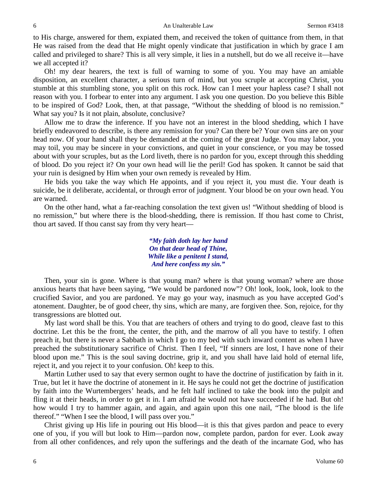to His charge, answered for them, expiated them, and received the token of quittance from them, in that He was raised from the dead that He might openly vindicate that justification in which by grace I am called and privileged to share? This is all very simple, it lies in a nutshell, but do we all receive it—have we all accepted it?

Oh! my dear hearers, the text is full of warning to some of you. You may have an amiable disposition, an excellent character, a serious turn of mind, but you scruple at accepting Christ, you stumble at this stumbling stone, you split on this rock. How can I meet your hapless case? I shall not reason with you. I forbear to enter into any argument. I ask you one question. Do you believe this Bible to be inspired of God? Look, then, at that passage, "Without the shedding of blood is no remission." What say you? Is it not plain, absolute, conclusive?

Allow me to draw the inference. If you have not an interest in the blood shedding, which I have briefly endeavored to describe, is there any remission for you? Can there be? Your own sins are on your head now. Of your hand shall they be demanded at the coming of the great Judge. You may labor, you may toil, you may be sincere in your convictions, and quiet in your conscience, or you may be tossed about with your scruples, but as the Lord liveth, there is no pardon for you, except through this shedding of blood. Do you reject it? On your own head will lie the peril! God has spoken. It cannot be said that your ruin is designed by Him when your own remedy is revealed by Him.

He bids you take the way which He appoints, and if you reject it, you must die. Your death is suicide, be it deliberate, accidental, or through error of judgment. Your blood be on your own head. You are warned.

On the other hand, what a far-reaching consolation the text given us! "Without shedding of blood is no remission," but where there is the blood-shedding, there is remission. If thou hast come to Christ, thou art saved. If thou canst say from thy very heart—

> *"My faith doth lay her hand On that dear head of Thine, While like a penitent I stand, And here confess my sin."*

Then, your sin is gone. Where is that young man? where is that young woman? where are those anxious hearts that have been saying, "We would be pardoned now"? Oh! look, look, look, look to the crucified Savior, and you are pardoned. Ye may go your way, inasmuch as you have accepted God's atonement. Daughter, be of good cheer, thy sins, which are many, are forgiven thee. Son, rejoice, for thy transgressions are blotted out.

My last word shall be this. You that are teachers of others and trying to do good, cleave fast to this doctrine. Let this be the front, the center, the pith, and the marrow of all you have to testify. I often preach it, but there is never a Sabbath in which I go to my bed with such inward content as when I have preached the substitutionary sacrifice of Christ. Then I feel, "If sinners are lost, I have none of their blood upon me." This is the soul saving doctrine, grip it, and you shall have laid hold of eternal life, reject it, and you reject it to your confusion. Oh! keep to this.

Martin Luther used to say that every sermon ought to have the doctrine of justification by faith in it. True, but let it have the doctrine of atonement in it. He says he could not get the doctrine of justification by faith into the Wurtembergers' heads, and he felt half inclined to take the book into the pulpit and fling it at their heads, in order to get it in. I am afraid he would not have succeeded if he had. But oh! how would I try to hammer again, and again, and again upon this one nail, "The blood is the life thereof." "When I see the blood, I will pass over you."

Christ giving up His life in pouring out His blood—it is this that gives pardon and peace to every one of you, if you will but look to Him—pardon now, complete pardon, pardon for ever. Look away from all other confidences, and rely upon the sufferings and the death of the incarnate God, who has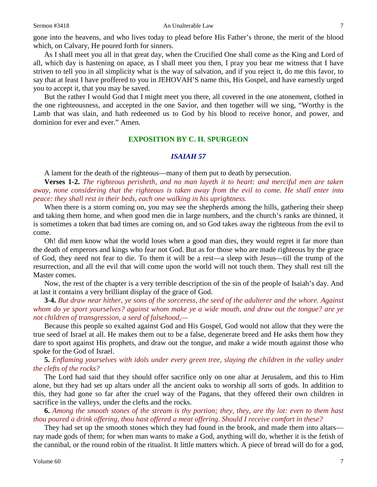gone into the heavens, and who lives today to plead before His Father's throne, the merit of the blood which, on Calvary, He poured forth for sinners.

As I shall meet you all in that great day, when the Crucified One shall come as the King and Lord of all, which day is hastening on apace, as I shall meet you then, I pray you bear me witness that I have striven to tell you in all simplicity what is the way of salvation, and if you reject it, do me this favor, to say that at least I have proffered to you in JEHOVAH'S name this, His Gospel, and have earnestly urged you to accept it, that you may be saved.

But the rather I would God that I might meet you there, all covered in the one atonement, clothed in the one righteousness, and accepted in the one Savior, and then together will we sing, "Worthy is the Lamb that was slain, and hath redeemed us to God by his blood to receive honor, and power, and dominion for ever and ever." Amen.

### **EXPOSITION BY C. H. SPURGEON**

#### *ISAIAH 57*

A lament for the death of the righteous—many of them put to death by persecution.

**Verses 1-2.** *The righteous perisheth, and no man layeth it to heart: and merciful men are taken away, none considering that the righteous is taken away from the evil to come. He shall enter into peace: they shall rest in their beds, each one walking in his uprightness.*

When there is a storm coming on, you may see the shepherds among the hills, gathering their sheep and taking them home, and when good men die in large numbers, and the church's ranks are thinned, it is sometimes a token that bad times are coming on, and so God takes away the righteous from the evil to come.

Oh! did men know what the world loses when a good man dies, they would regret it far more than the death of emperors and kings who fear not God. But as for those who are made righteous by the grace of God, they need not fear to die. To them it will be a rest—a sleep with Jesus—till the trump of the resurrection, and all the evil that will come upon the world will not touch them. They shall rest till the Master comes.

Now, the rest of the chapter is a very terrible description of the sin of the people of Isaiah's day. And at last it contains a very brilliant display of the grace of God.

**3-4.** *But draw near hither, ye sons of the sorceress, the seed of the adulterer and the whore. Against whom do ye sport yourselves? against whom make ye a wide mouth, and draw out the tongue? are ye not children of transgression, a seed of falsehood,—*

Because this people so exalted against God and His Gospel, God would not allow that they were the true seed of Israel at all. He makes them out to be a false, degenerate breed and He asks them how they dare to sport against His prophets, and draw out the tongue, and make a wide mouth against those who spoke for the God of Israel.

### **5.** *Enflaming yourselves with idols under every green tree, slaying the children in the valley under the clefts of the rocks?*

The Lord had said that they should offer sacrifice only on one altar at Jerusalem, and this to Him alone, but they had set up altars under all the ancient oaks to worship all sorts of gods. In addition to this, they had gone so far after the cruel way of the Pagans, that they offered their own children in sacrifice in the valleys, under the clefts and the rocks.

**6.** *Among the smooth stones of the stream is thy portion; they, they, are thy lot: even to them hast thou poured a drink offering, thou hast offered a meat offering. Should I receive comfort in these?*

They had set up the smooth stones which they had found in the brook, and made them into altars nay made gods of them; for when man wants to make a God, anything will do, whether it is the fetish of the cannibal, or the round robin of the ritualist. It little matters which. A piece of bread will do for a god,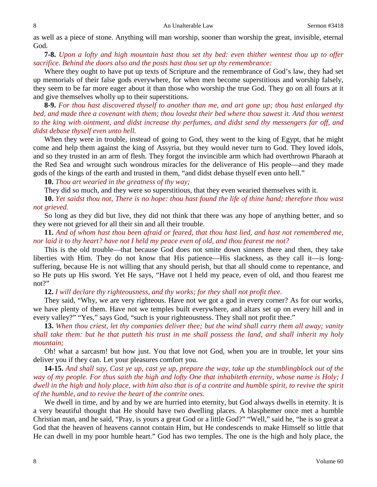as well as a piece of stone. Anything will man worship, sooner than worship the great, invisible, eternal God.

**7-8.** *Upon a lofty and high mountain hast thou set thy bed: even thither wentest thou up to offer sacrifice. Behind the doors also and the posts hast thou set up thy remembrance:*

Where they ought to have put up texts of Scripture and the remembrance of God's law, they had set up memorials of their false gods everywhere, for when men become superstitious and worship falsely, they seem to be far more eager about it than those who worship the true God. They go on all fours at it and give themselves wholly up to their superstitions.

**8-9.** *For thou hast discovered thyself to another than me, and art gone up; thou hast enlarged thy bed, and made thee a covenant with them; thou lovedst their bed where thou sawest it. And thou wentest to the king with ointment, and didst increase thy perfumes, and didst send thy messengers far off, and didst debase thyself even unto hell.*

When they were in trouble, instead of going to God, they went to the king of Egypt, that he might come and help them against the king of Assyria, but they would never turn to God. They loved idols, and so they trusted in an arm of flesh. They forgot the invincible arm which had overthrown Pharaoh at the Red Sea and wrought such wondrous miracles for the deliverance of His people—and they made gods of the kings of the earth and trusted in them, "and didst debase thyself even unto hell."

**10.** *Thou art wearied in the greatness of thy way;*

They did so much, and they were so superstitious, that they even wearied themselves with it.

**10.** *Yet saidst thou not, There is no hope: thou hast found the life of thine hand; therefore thou wast not grieved.*

So long as they did but live, they did not think that there was any hope of anything better, and so they were not grieved for all their sin and all their trouble.

**11.** *And of whom hast thou been afraid or feared, that thou hast lied, and hast not remembered me, nor laid it to thy heart? have not I held my peace even of old, and thou fearest me not?*

This is the old trouble—that because God does not smite down sinners there and then, they take liberties with Him. They do not know that His patience—His slackness, as they call it—is longsuffering, because He is not willing that any should perish, but that all should come to repentance, and so He puts up His sword. Yet He says, "Have not I held my peace, even of old, and thou fearest me not?"

**12.** *I will declare thy righteousness, and thy works; for they shall not profit thee.*

They said, "Why, we are very righteous. Have not we got a god in every corner? As for our works, we have plenty of them. Have not we temples built everywhere, and altars set up on every hill and in every valley?" "Yes," says God, "such is your righteousness. They shall not profit thee."

**13.** *When thou criest, let thy companies deliver thee; but the wind shall carry them all away; vanity shall take them: but he that putteth his trust in me shall possess the land, and shall inherit my holy mountain;*

Oh! what a sarcasm! but how just. You that love not God, when you are in trouble, let your sins deliver you if they can. Let your pleasures comfort you.

**14-15.** *And shall say, Cast ye up, cast ye up, prepare the way, take up the stumblingblock out of the way of my people. For thus saith the high and lofty One that inhabiteth eternity, whose name is Holy; I dwell in the high and holy place, with him also that is of a contrite and humble spirit, to revive the spirit of the humble, and to revive the heart of the contrite ones.*

We dwell in time, and by and by we are hurried into eternity, but God always dwells in eternity. It is a very beautiful thought that He should have two dwelling places. A blasphemer once met a humble Christian man, and he said, "Pray, is yours a great God or a little God?" "Well," said he, "he is so great a God that the heaven of heavens cannot contain Him, but He condescends to make Himself so little that He can dwell in my poor humble heart." God has two temples. The one is the high and holy place, the